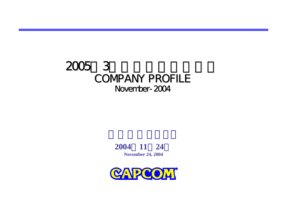# 2005年3月期中間決算説明会**COMPANY PROFILE** November-2004



**November 24, 2004**

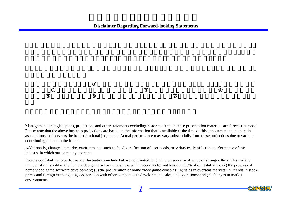Management strategies, plans, projections and other statements excluding historical facts in these presentation materials are forecast purpose. Please note that the above business projections are based on the information that is available at the time of this announcement and certain assumptions that serve as the basis of rational judgments. Actual performance may vary substantially from these projections due to various contributing factors to the future.

Additionally, changes in market environments, such as the diversification of user needs, may drastically affect the performance of this industry in which our company operates.

Factors contributing to performance fluctuations include but are not limited to: (1) the presence or absence of strong-selling titles and the number of units sold in the home video game software business which accounts for not less than 50% of our total sales; (2) the progress of home video game software development; (3) the proliferation of home video game consoles; (4) sales in overseas markets; (5) trends in stock prices and foreign exchange; (6) cooperation with other companies in development, sales, and operations; and (7) changes in market environments.

1

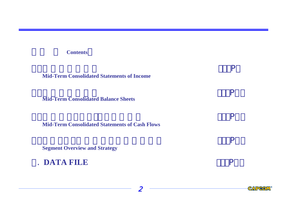# **Contents**<sup>&</sup>gt;

**Mid-Term Consolidated Statements of Income**

**Mid-Term Consolidated Balance Sheets**

**Mid-Term Consolidated Statements of Cash Flows**

2

. The contract of the contract of  $\mathsf{P}$ 

en and the state of the state of the state of the state of the state of the state of the state of the state of

en andere van die gewone van die plaas van die gewone van die gewone van die gewone van die gewone van die gew

en and the participant of the participant of the participant of the participant of the participant of the participant of the participant of the participant of the participant of the participant of the participant of the pa

**Segment Overview and Strategy**

5. **DATA FILE** $\mathbf{P}$ 

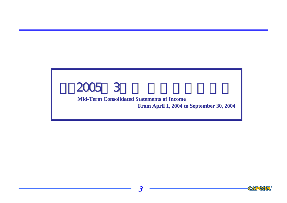# **Mid-Term Consolidated Statements of Income From April 1, 2004 to September 30, 2004**

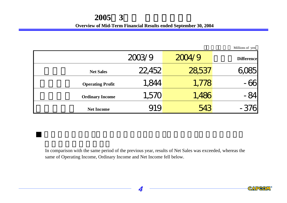**Overview of Mid-Term Financial Results ended September 30, 2004** 

|                         |        |        | Millions of yen   |
|-------------------------|--------|--------|-------------------|
|                         | 2003/9 | 2004/9 | <b>Difference</b> |
| <b>Net Sales</b>        | 22,452 | 28,537 |                   |
| <b>Operating Profit</b> | 1,844  | 1,778  | -66               |
| <b>Ordinary Income</b>  | 1,570  | 1,486  | $-84$             |
| <b>Net Income</b>       |        | 543    | $-376$            |

In comparison with the same period of the previous year, results of Net Sales was exceeded, whereas the same of Operating Income, Ordinary Income and Net Income fell below.

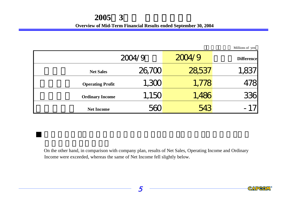**Overview of Mid-Term Financial Results ended September 30, 2004** 

|                         |        |        | Millions of yen   |
|-------------------------|--------|--------|-------------------|
|                         | 2004/9 | 2004/9 | <b>Difference</b> |
| <b>Net Sales</b>        | 26,700 | 28,537 | 1,837             |
| <b>Operating Profit</b> | 1,300  | 1,778  | 478               |
| <b>Ordinary Income</b>  | 1,150  | 1,486  | 336               |
| <b>Net Income</b>       |        | 543    | $-17$             |

On the other hand, in comparison with company plan, results of Net Sales, Operating Income and Ordinary Income were exceeded, whereas the same of Net Income fell slightly below.

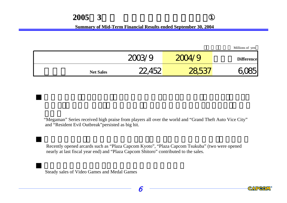# **2005**年**3**月期 中間決算概況のポイント①

**<u>Summary of Mid-Term Financial Results ended September 30, 2004</u>** 

|                  |                 |                      | Millions of yen   |
|------------------|-----------------|----------------------|-------------------|
|                  | 20 <sup>2</sup> | 200/9                | <b>Difference</b> |
| <b>Net Sales</b> |                 | $\sim$ $\sim$ $\sim$ |                   |

"Megaman" Series received high praise from players all over the world and "Grand Theft Auto Vice City" and "Resident Evil Outbreak"persisted as big hit.

Recently opened arcards such as "Plaza Capcom Kyoto", "Plaza Capcom Tsukuba" (two were opened nearly at last fiscal year end) and "Plaza Capcom Shitoro" contributed to the sales.

Steady sales of Video Games and Medal Games

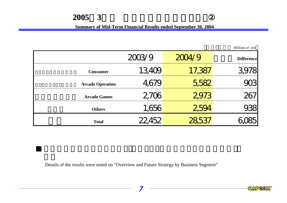# **2005**年**3**月期 中間決算概況のポイント②

**<u>Summary of Mid-Term Financial Results ended September 30, 2004</u>** 

|                         |        |        | Millions of yen   |
|-------------------------|--------|--------|-------------------|
|                         | 2003/9 | 2004/9 | <b>Difference</b> |
| <b>Consumer</b>         | 13,409 | 17,387 | 3,978             |
| <b>Arcade Operation</b> | 4,679  | 5,582  | 703               |
| <b>Arcade Games</b>     | 2706   | 2973   | 267               |
| <b>Others</b>           | 1,656  | 2594   | 138               |
| <b>Total</b>            |        |        |                   |

Details of the results were noted on "Overview and Future Strategy by Business Segment"

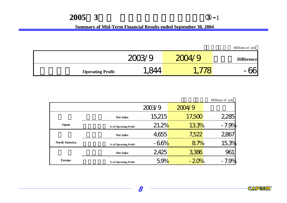## **<u>Summary of Mid-Term Financial Results ended September 30, 2004</u>**

Millions of yen 2003/9 2004/9 Difference **Operating Profit** 1,844 1,778 - 66

|                      |                       |        |        | Millions of yen |
|----------------------|-----------------------|--------|--------|-----------------|
|                      |                       | 2003/9 | 2004/9 |                 |
|                      | <b>Net Sales</b>      | 15,215 | 17,500 | 2,285           |
| Japan                | % of Operating Profit | 21.2%  | 133%   | $-7.9%$         |
|                      | <b>Net Sales</b>      | 4,655  | 7,522  | 2867            |
| <b>North America</b> | % of Operating Profit | $-66%$ | 87%    | 15.3%           |
|                      | <b>Net Sales</b>      | 2425   | 3,386  | 961             |
| <b>Europe</b>        | % of Operating Profit | 5.9%   | $-20%$ | $-7.9%$         |

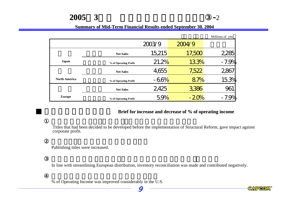#### **Summary of Mid-Term Financial Results ended September 30, 2004**

月期 中間決算概況のポイント③**-**2

|                      |                       |        |        | Millions of yen |
|----------------------|-----------------------|--------|--------|-----------------|
|                      |                       | 2003/9 | 2004/9 |                 |
|                      | <b>Net Sales</b>      | 15,215 | 17,500 | 2,285           |
| <b>Japan</b>         | % of Operating Profit | 21.2%  | 133%   | $-7.9%$         |
|                      | <b>Net Sales</b>      | 4,655  | 7,522  | 2867            |
| <b>North America</b> | % of Operating Profit | $-66%$ | 87%    | 15.3%           |
|                      | <b>Net Sales</b>      | 2425   | 3,386  | 961             |
| <b>Europe</b>        | % of Operating Profit | 5.9%   | $-20%$ | $-7.9%$         |

### **Brief for increase and decrease of % of operating income**

CAPCOM

Titles that had been decided to be developed before the implementation of Structural Reform, gave impact against corporate profit.

Publishing titles were increased.

In line with streamlining European distribution, inventory reconciliation was made and contributed negatively.

9

% of Operating Income was improved considerably in the U.S.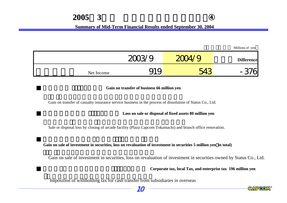# **2005**年**3**月期 中間決算概況のポイント④

### **Summary of Mid-Term Financial Results ended September 30, 2004**

| Millions of yen   |       |        |            |
|-------------------|-------|--------|------------|
| <b>Difference</b> | 200/9 | 2003/9 |            |
|                   |       | MO     | Net Income |

#### **Gain on transfer of business 66 million yen**

Gain on transfer of casualty insurance service business in the process of dissolution of Status Co., Ltd.

#### **Loss on sale or dis Loss on sale or disposal of f al of fixed assets 80 million yen sets 80 million yen**

Sale or disposal loss by closing of arcade facility (Plaza Capcom Tokamachi) and branch office renovation.

Gain on sale of investment in securities, loss on revaluation of investment in securities 5 million yen in total)

Gain on sale of investment in securities, loss on revaluation of investment in securities owned by Status Co., Ltd.

**Corporate tax, local Tax, and enterprise tax 196 million yen**

Imposition of withholding tax for cash transfer from subsidiaries in overseas



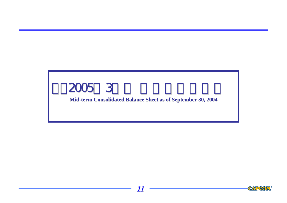**Mid-term Consolidated Balance Sheet as of September 30, 2004** 

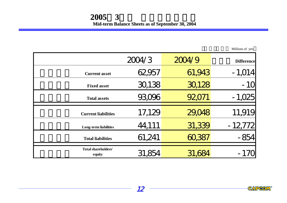|                               | 2004/3 | 2004/9 | <b>Difference</b> |
|-------------------------------|--------|--------|-------------------|
| <b>Current asset</b>          | 62,957 | 61,943 | $-1,014$          |
| <b>Fixed asset</b>            | 30,138 | 30,128 | $-10$             |
| <b>Total assets</b>           | 93,096 | 92,071 | $-1,025$          |
| <b>Current liabilities</b>    | 17,129 | 29,048 | 11,919            |
| <b>Long-term liabilities</b>  | 44,111 | 31,339 | $-12772$          |
| <b>Total liabilities</b>      | 61,241 | 60,387 | $-854$            |
| Total shareholders'<br>equity | 31,85  | 31,    | - 170             |

Millions of yen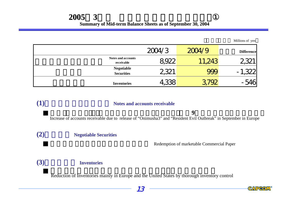Millions of yen

|                                         | 2004/3 | 2004/9 | <b>Difference</b> |
|-----------------------------------------|--------|--------|-------------------|
| <b>Notes and accounts</b><br>receivable | 8922   | 11,243 |                   |
| <b>Negotiable</b><br><b>Securities</b>  | 2321   |        | $\mathbf{m}$ .    |
| <b>Inventories</b>                      | 4,338  |        |                   |

# **(1)**受取手形および売掛金 受取手形および売掛金 **Notes and accounts receivable Notes and accounts receivable**

欧州「鬼武者3」、「バイオハザード アウトブレイク」等の**9**月発売に伴う売掛金の増加

Increase of accounts receivable due to release of "Onimusha3" and "Resident Evil Outbreak" in September in Europe

# **(2)**有価証券 **Negotiable Secu Negotiable Securities**

Redemption of marketable Commercial Paper

# **(3)**たな卸資産 **Inventories Inventories**

Reduction of Inventories mainly in Europe and the United States by thorough inventory control

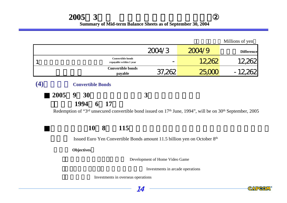|                                                     |        |        | Millions of yen   |
|-----------------------------------------------------|--------|--------|-------------------|
|                                                     | 2004/3 | 2004/9 | <b>Difference</b> |
| <b>Convertible bonds</b><br>repayable within 1 year |        | 12,262 |                   |
| <b>Convertible bonds</b><br>payable                 | 37,262 |        |                   |
|                                                     |        |        |                   |

 **2005**年**9**月**30**日に償還予定の第**3**回無担保転換社債 (発行日**1994**年**6**月**17**日)

Redemption of "3<sup>rd</sup> unsecured convertible bond issued on 17<sup>th</sup> June, 1994", will be on 30<sup>th</sup> September, 2005

# ■上記に加え、**10**月**8**日に**115**億円のユーロ円建転換社債型新株予約権付社債

Issued Euro Yen Convertible Bonds amount 11.5 billion yen on October 8th

**Objectives**<sup>&</sup>gt;

**(4)**転換社債 **Convertible Bonds Convertible Bonds**

Development of Home Video Game

Investments in arcade operations

Investments in overseas operations



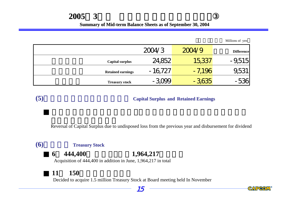# **2005**年**3**月期 中間貸借対照表のポイント③

#### **Summary of Mid-term Balance Sheets as of September 30, 2004**

Millions of yen

|                          | 2004/3    | 2004/9   | <b>Difference</b> |
|--------------------------|-----------|----------|-------------------|
| <b>Capital surplus</b>   | 24,852    | 15,337   | $-9,515$          |
| <b>Retained earnings</b> | $-16,727$ | $-7,196$ | 1,53              |
| <b>Treasury stock</b>    | $-3,099$  | $-3,635$ | -536              |

# **(5)**資本剰余金および利益剰余金 資本剰余金および利益剰余金 **Capital Surplus Capital Surplus and Retained Ea Retained Earnings**

Reversal of Capital Surplus due to undisposed loss from the previous year and disbursement for dividend

# **(6) Treasury Stock**

# **6 444,400 1,964,217**

Acquisition of 444,400 in addition in June, 1,964,217 in total

# 11 **150**

Decided to acquire 1.5 million Treasury Stock at Board meeting held In November

# 15

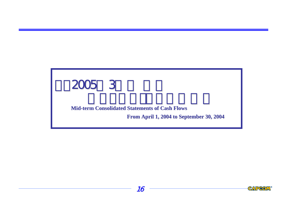# **Mid-term Cons term Consolidated Statements of Cash Flows olidated Statements of Cash Flows**

**From April April 1, 2004 to September 30, 2004 1, 2004 to September 30, 2004**



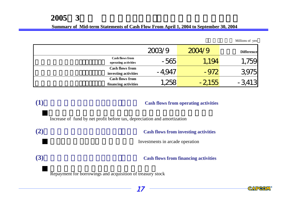### **Summary of Mid-term Statements of Cash Flow From April 1, 2004 to September 30, 2004**

Millions of yen

|                                                | 2003/9   | 2004/9  | <b>Difference</b> |
|------------------------------------------------|----------|---------|-------------------|
| <b>Cash flows from</b><br>operating activities | $-565$   | 1,194   | 759               |
| <b>Cash flows from</b><br>investing activities | $-4.947$ | $-972$  | 3,975             |
| <b>Cash flows from</b><br>financing activities | 258      | $-2155$ |                   |

# **(1)** Cash flows from operating activities

Increase of fund by net profit before tax, depreciation and amortization

**(2)** Cash flows from investing activities

Investments in arcade operation

**(3)** Cash flows from financing activities

Repayment for borrowings and acquisition of treasury stock

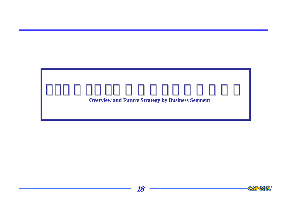# **Overview and Future Strategy by Business Segment**



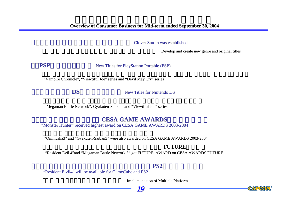Clover Studio was established

Develop and create new genre and original titles

**PSP** New Titles for PlayStation Portable (PSP)

"Vampire Chronicle", "Viewtiful Joe" series and "Devil May Cry" series

DS

New Titles for Nintendo DS

"Megaman Battle Network", Gyakuten-Saiban "and "Viewtiful Joe" series

# **CESA GAME AWARDS**

"Monster Hunter" received highest award on CESA GAME AWARDS 2003-2004

"Onimusha3" and "Gyakuten-Saiban3" were also awarded on CESA GAME AWARDS 2003-2004

## **FUTURE**

"Resident Evil 4"and "Megaman Battle Network 5" got FUTURE AWARD on CESA AWARDS FUTURE

# **PS2**

"Resident Eivil4" will be available for GameCube and PS2

Implementation of Multiple Platform



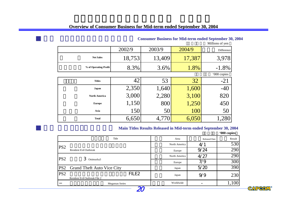|                       |        |        |        | <b>MUNICIPALE</b> |
|-----------------------|--------|--------|--------|-------------------|
|                       | 2002/9 | 2003/9 | 2004/9 | Difference        |
| <b>Net Sales</b>      | 18,753 | 13,409 | 17,387 | 3,978             |
| % of Operating Profit | 8.3%   | 3.6%   | 1.8%   | $-1.8%$           |
|                       |        |        |        | '000 copies       |
| <b>Titles</b>         | 42     | 53     | 32     | $-21$             |
| Japan                 | 2,350  | 1,640  | 1,600  | $-40$             |
| <b>North America</b>  | 3,000  | 2,280  | 3,100  | 820               |
| <b>Europe</b>         | 1,150  | 800    | 1,250  | 450               |
| Asia                  | 150    | 50     | 100    | 50                |
| <b>Total</b>          | 6,650  | 4,770  | 6,050  | 1,280             |

#### **Consumer Busines er Business for Mid-term ended September 30, 2004 term ended September 30, 2004**

Millions of yen

#### **Main Titles Results Released in Mid-term ended September 30, 2004 term ended September 30, 2004**

(単位:千本**'000 copies**)

|                 | Title                             | Area          | <b>Released Date</b> | Result           |
|-----------------|-----------------------------------|---------------|----------------------|------------------|
| PS <sub>2</sub> |                                   | North America | 4/2                  | 530              |
|                 | <b>Resident Evil Outbreak</b>     | Europe        | 9/24                 | 290              |
| PS <sub>2</sub> | 3                                 | North America | 4/27                 | 290              |
|                 | Onimusha3                         | Europe        | 7/9                  | 300              |
| PS <sub>2</sub> | <b>Grand Theft Auto Vice City</b> | Japan         | 5/20                 | $\overline{390}$ |
| PS <sub>2</sub> | FILE <sub>2</sub>                 | Japan         | 9/9                  | 230              |
|                 | Resident Evil Outbreak File 2     |               |                      |                  |
|                 | <b>Megaman Series</b>             | Worldwide     |                      |                  |

20

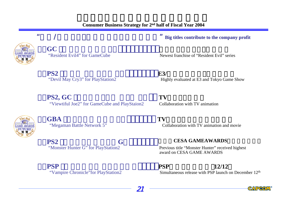"



1.**GC** 「バイオハザード"Resident Evil4" for GameCube

**PS2** 

 $PS2, GC$  **TV** "Viewtiful Joe2" for GameCube and PlayStaion2 Collaboration with TV animation

 $/$ 



GBA

**FS2 G** "Monster Hunter G" for PlayStation2

**PSP PSP** 12/12

期待ソフトの投入による収益の確保" **Big titles Big titles contribute contribute to the company profit to the company profit**

Newest franchise of "Resident Evil" series

**E3/** "Devil May Cry3" for PlayStation2 Highly evaluated at E3 and Tokyo Game Show

 $T$ V "Megaman Battle Network 5" Collaboration with TV animation and movie

# **CESA GAMEAWARDS**

Previous title "Monster Hunter" received highest award on CESA GAME AWARDS

21 -

"Vampire Chronicle" for PlayStation 2 Simultaneous release with PSP launch on December 12<sup>th</sup>

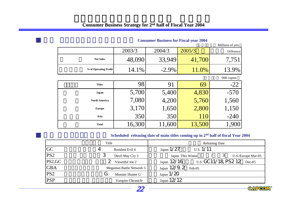|                       |        |          |        | Millions of yen |
|-----------------------|--------|----------|--------|-----------------|
|                       | 2003/3 | 2004/3   | 2005/3 | Difference      |
| <b>Net Sales</b>      | 48,090 | 33,949   | 41,700 | 7,751           |
| % of Operating Profit | 14.1%  | $-2.9\%$ | 11.0%  | 13.9%           |
|                       |        |          |        | '000 copies     |
| <b>Titles</b>         | 98     | 91       | 69     | $-22$           |
| Japan                 | 5,700  | 5,400    | 4,830  | $-570$          |
| <b>North America</b>  | 7,080  | 4,200    | 5,760  | 1,560           |
| <b>Europe</b>         | 3,170  | 1,650    | 2,800  | 1,150           |
| Asia                  | 350    | 350      | 110    | $-240$          |
| <b>Total</b>          | 16,300 | 11,600   | 13,500 | 1,900           |

#### **Consumer Business for Fiscal year 2004**

# **Scheduled releasing date of main titles coming up in 2<sup>nd</sup> half of fiscal Year 2004**

|                 | Title                            | <b>Releasing Date</b>                                  |
|-----------------|----------------------------------|--------------------------------------------------------|
| <b>GC</b>       | 4<br>Resident Evil 4             | U.S. 1/11<br>Japan $1/27$                              |
| PS <sub>2</sub> | 3<br>Devil May Cry 3             | Japan This Winter<br>U.S./Europe Mar-05                |
| PS2,GC          | Viewtiful Joe 2                  | U.S. GC11/18, PS2 12 Dec-05<br>$_{\text{Japan}}$ 12/16 |
| <b>GBA</b>      | Megaman Battle Network 5         | Japan 12/9, 2 Feb-05                                   |
| PS2             | Monster Hunter G<br>$\mathbf{C}$ | Japan $1/20$                                           |
| <b>PSP</b>      | Vampire Chronicle                | Japan 12/12                                            |



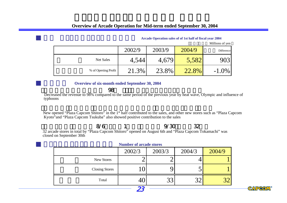|                      |        |        |        | Millions of yen |
|----------------------|--------|--------|--------|-----------------|
|                      | 2002/9 | 2003/9 | 2004/9 | Difference      |
| Net Sales            | 4,544  | 4,679  | 5,582  | 9031            |
| % of Opreting Profit | 21.3%  | 23.8%  | 22.8%  | $-1.0\%$        |

**Arcade O Arcade Operation sales of of 1st half of fiscal year 20 year 2004**

#### **Overview of six-month ended September 30, 2004**

 $\sim$  98%  $\sim$  98%  $\sim$  98%  $\sim$  98%  $\sim$  98%  $\sim$ Decreased the revenue to 98% compared to the same period of the previous year by heat wave, Olympic and influence of typhoons

New opened "Plaza Capcom Shitoro" in the 1st half contributed to the sales, and other new stores such as "Plaza Capcom Kyoto"and "Plaza Capcom Tsukuba" also showed positive contribution to the sales

8/6 1 9/30 32

32 arcade stores in total by "Plaza Capcom Shitoro" opened on August 6th and "Plaza Capcom Tokamachi" was closed on September 30th

|                       | <b>Trainber of arcauc stores</b> |        |        |        |
|-----------------------|----------------------------------|--------|--------|--------|
|                       | 2002/3                           | 2003/3 | 2004/3 | 2004/9 |
| New Stores            |                                  |        |        |        |
| <b>Closing Stores</b> |                                  |        | ັ      |        |
| Total                 |                                  |        | າາ     |        |

23

**Number of arcade stores Number of arcade stores**

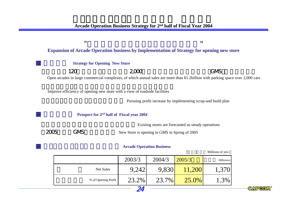| Ш                                                                                                 | "                                                                          |                                                                                                                                |  |
|---------------------------------------------------------------------------------------------------|----------------------------------------------------------------------------|--------------------------------------------------------------------------------------------------------------------------------|--|
| <b>Expansion of Arcade Operation business by Implementation of Strategy for opening new store</b> |                                                                            |                                                                                                                                |  |
|                                                                                                   | <b>Strategy for Opening New Store</b>                                      |                                                                                                                                |  |
| 120                                                                                               | 2000                                                                       | <b>GMS</b>                                                                                                                     |  |
|                                                                                                   |                                                                            | Open arcades in large commercial complexes, of which annual sales are more than ¥1.2billion with parking space over 2,000 cars |  |
|                                                                                                   | Improve efficiency of opening new store with a view of roadside facilities | Pursuing profit increase by implementing scrap-and build plan                                                                  |  |
|                                                                                                   | Prospect for 2 <sup>nd</sup> half of Fiscal year 2004                      |                                                                                                                                |  |
|                                                                                                   |                                                                            | Existing stores are forecasted as steady operations                                                                            |  |
| <b>GMS</b>                                                                                        | New Store is opening in GMS in Spring of 2005                              |                                                                                                                                |  |
|                                                                                                   | <b>Arcade Operation Business</b>                                           |                                                                                                                                |  |

#### Millions of yen

|                      | 2003/3 | 2004/3 | 2005/3   | Difference |
|----------------------|--------|--------|----------|------------|
| <b>Net Sales</b>     | 9,242  | 9,830  | 11,200   | 1,370      |
| % of Opreting Profit | 23.2%  | 23.7%  | $25.0\%$ | 1.3%       |
|                      |        |        |          |            |

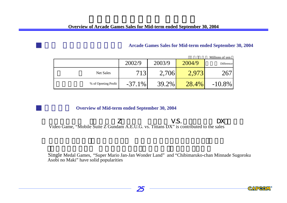## **Arcade Games Sales for Mid Arcade Games Sales for Mid-term ended September 30, 2004 term ended September 30, 2004**

|                      |           |        |        | Millions of yen |
|----------------------|-----------|--------|--------|-----------------|
|                      | 2002/9    | 2003/9 | 2004/9 | Difference      |
| Net Sales            |           | 2,706  |        |                 |
| % of Opreting Profit | $-37.1\%$ | 39.2%  | 28.4%  | $-10.8\%$       |

## **Overview of Mid-term ended September 30, 2004**

 $Z$  The V.S. The DX  $\sim$  DX Video Game, "Mobile Suite Z Gundam A.E.U.G. vs. Tittans DX" is contributed to the sales

Single Medal Games, "Super Mario Jan-Jan Wonder Land" and "Chibimaruko-chan Minnade Sugoroku Asobi no Maki" have solid popularities



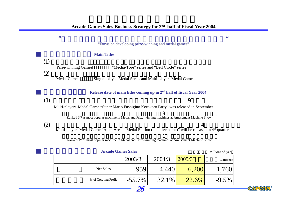|                                | М                                                                                                                  |                    |                           |                                                                                                              |                  | Ш               |
|--------------------------------|--------------------------------------------------------------------------------------------------------------------|--------------------|---------------------------|--------------------------------------------------------------------------------------------------------------|------------------|-----------------|
|                                |                                                                                                                    |                    |                           | "Focus on developing prize-winning and medal games"                                                          |                  |                 |
|                                |                                                                                                                    | <b>Main Titles</b> |                           |                                                                                                              |                  |                 |
| (1)                            | Prize-winning Games                                                                                                |                    |                           | "Mecha-Tore" series and "Bell Circle" series                                                                 |                  |                 |
| $\boldsymbol{\left( 2\right)}$ | <b>Medal Games</b>                                                                                                 |                    |                           | Single- played Medal Series and Multi-players Medal Games                                                    |                  |                 |
|                                |                                                                                                                    |                    |                           | Release date of main titles coming up in 2 <sup>nd</sup> half of fiscal Year 2004                            |                  |                 |
| (1)                            |                                                                                                                    |                    |                           |                                                                                                              | 9                |                 |
|                                | Multi-players Medal Game "Super Mario Fushigino Korokoro Party" was released in September                          |                    |                           |                                                                                                              |                  |                 |
|                                |                                                                                                                    |                    |                           | 3<br>Ranked 3rd as most popular machine in Medal and Prize-winning machines at Amusement Machine Show        |                  |                 |
| (2)                            |                                                                                                                    |                    |                           |                                                                                                              | $\boldsymbol{4}$ |                 |
|                                | Multi-players Medal Game "Alien Arcade Medal Edition (tentative name)" will be released in 4 <sup>th</sup> quarter |                    |                           |                                                                                                              |                  |                 |
|                                |                                                                                                                    |                    |                           | Ranked 1 <sup>st</sup> as most popular machine in Medal and Prize-winning machines at Amusement Machine Show |                  |                 |
|                                |                                                                                                                    |                    | <b>Arcade Games Sales</b> |                                                                                                              |                  | Millions of yen |
|                                |                                                                                                                    |                    | 2003/3                    | 2004/3                                                                                                       | 2005/3           | Difference      |
|                                |                                                                                                                    |                    |                           |                                                                                                              |                  |                 |
|                                |                                                                                                                    | Net Sales          | 959                       | 4,440                                                                                                        | 6,200            | 1,760           |

 $32.1\%$   $22.6\%$  -9.5%

% of Opreting Profit  $-55.7\%$ 

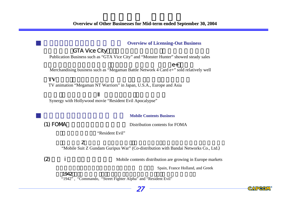#### **Overview of Licensing-Out Business**

# **GTA Vice City**

Publication Business such as "GTA Vice City" and "Monster Hunter" showed steady sales

 エグゼ4 カードe+」も健闘Merchandising business such as "Megaman Battle Network 4 Card e+" sold relatively well

## $T$ V

TV animation "Megaman NT Warriors" in Japan, U.S.A., Europe and Asia

Synergy with Hollywood movie "Resident Evil Apocalypse"

#### 概況**Mobile Contents Business Mobile Contents Business**

(1) FOMA Distribution contents for FOMA

"Resident Evil"

## $\mathsf Z$

"Mobile Suit Z Gundam Guripus War" (Co-distribution with Bandai Networks Co., Ltd.)

27

(2) 欧州 i モードへの本格参入 Mobile contents distribution are growing in Europe markets

Spain, France Holland, and Greek

CAPCOM

"1942" , "Commando, "Street Fighter Alpha" and "Resident Evil"

「1942」、「戦場の狼」、「ストリートファイターゼロ」、「バイオハザード」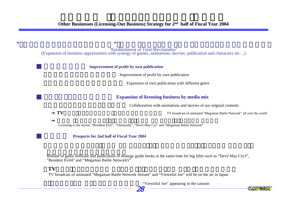"

"Establishment of Total Merchandise" (Expansion of business opportunities with synergy of games, animations, movies, publication and characters etc…)

#### **Improvement of profit by own publication**

Improvement of profit by own publication

Expansion of own publication with different genre

#### **Expansion of licensing business by media mix Expansion of licensing business by media mix**

Collaboration with animations and movies of our original contents

**TV** broadcast of animated "Megaman Battle Network" all over the world

Licensing to the movie; "Resident Evil", "Onimusha", "Devil May Cry" and "Megaman Battle Network"

#### **Prospects for 2nd half of Fiscal Year 2004**

Release of game software and publication of strategy guide books at the same time for big titles such as "Devil May Cry3", "Resident Evil4" and "Megaman Battle Network5"

### **TV**アニメ「ロックマンエグゼ

"

TV broadcast of animated "Megaman Battle Network Stream" and "Viewtiful Joe" will be on the air in Japan

"Viewtiful Joe" appearing in the cartoon



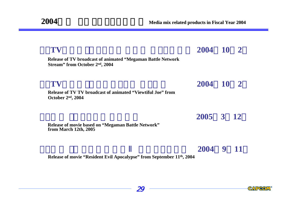| TV                                                                                                                 | 2004 10 2 |   |  |
|--------------------------------------------------------------------------------------------------------------------|-----------|---|--|
| <b>Release of TV broadcast of animated "Megaman Battle Network"</b><br>Stream" from October 2 <sup>nd</sup> , 2004 |           |   |  |
| TV                                                                                                                 | 2004 10 2 |   |  |
| Release of TV TV broadcast of animated "Viewtiful Joe" from<br>October $2nd$ , 2004                                |           |   |  |
|                                                                                                                    | 2005 3 12 |   |  |
| Release of movie based on "Megaman Battle Network"<br>from March 12th, 2005                                        |           |   |  |
|                                                                                                                    |           | 9 |  |

**Release of movie "Resident Evil Apocalypse" from September 11th, 2004**

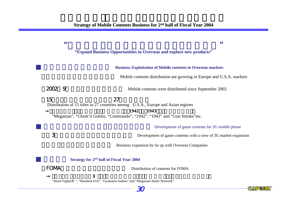| Ш           | П                                                                                          |
|-------------|--------------------------------------------------------------------------------------------|
|             | "Expand Business Opportunities in Overseas and explore new products"                       |
|             |                                                                                            |
|             | <b>Business Exploitation of Mobile contents in Overseas markets</b>                        |
|             | Mobile contents distribution are growing in Europe and U.S.A. markets                      |
| 2002<br>9   | Mobile contents were distributed since September 2002                                      |
| 15          | 27                                                                                         |
|             | Distribution of 15 titles in 27 countries among U.S.A., Europe and Asian regions           |
|             | 1942<br>1943<br>"Megaman", "Ghost'n Goblin, "Commando", "1942", "1943" and "Gun Smoke"etc. |
|             |                                                                                            |
|             | Development of game contents for 3G mobile phone                                           |
| 3           | Development of game contents with a view of 3G market expansion                            |
|             | Business expansion by tie up with Overseas Companies                                       |
|             | Strategy for 2 <sup>nd</sup> half of Fiscal Year 2004                                      |
| <b>FOMA</b> | Distribution of contents for FOMA                                                          |
|             |                                                                                            |

"Street Fighter ", "Resident Evil", "Gyak uten-Saiban" an d "Megaman Battle Network"



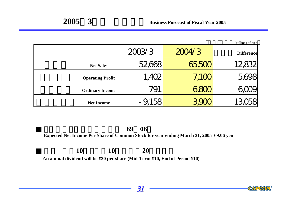|                         |          |        | Millions of yen   |
|-------------------------|----------|--------|-------------------|
|                         | 2003/3   | 2004/3 | <b>Difference</b> |
| <b>Net Sales</b>        | 52,668   | 5500   |                   |
| <b>Operating Profit</b> | 1,402    | 7,100  |                   |
| <b>Ordinary Income</b>  | 791      | bdl    |                   |
| <b>Net Income</b>       | $-9,158$ |        |                   |

# 1株当たり予想当期純利益 **69**円**06**<sup>銭</sup>

# **Expected Net Income Per Share of Common Stock for year ending March 31, 2005 69.06 yen**

**10** 10 20

**An annual dividend will be ¥20 per share (Mid-Term ¥10, End of Period ¥10)**

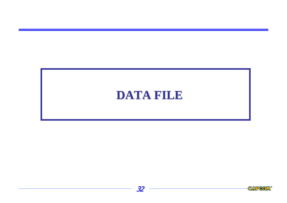# **DATA FILE DATA FILE**